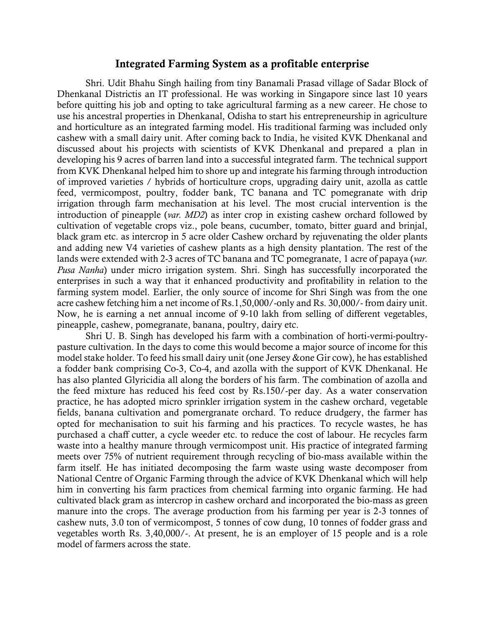## Integrated Farming System as a profitable enterprise

Shri. Udit Bhahu Singh hailing from tiny Banamali Prasad village of Sadar Block of Dhenkanal Districtis an IT professional. He was working in Singapore since last 10 years before quitting his job and opting to take agricultural farming as a new career. He chose to use his ancestral properties in Dhenkanal, Odisha to start his entrepreneurship in agriculture and horticulture as an integrated farming model. His traditional farming was included only cashew with a small dairy unit. After coming back to India, he visited KVK Dhenkanal and discussed about his projects with scientists of KVK Dhenkanal and prepared a plan in developing his 9 acres of barren land into a successful integrated farm. The technical support from KVK Dhenkanal helped him to shore up and integrate his farming through introduction of improved varieties / hybrids of horticulture crops, upgrading dairy unit, azolla as cattle feed, vermicompost, poultry, fodder bank, TC banana and TC pomegranate with drip irrigation through farm mechanisation at his level. The most crucial intervention is the introduction of pineapple (*var. MD2*) as inter crop in existing cashew orchard followed by cultivation of vegetable crops viz., pole beans, cucumber, tomato, bitter guard and brinjal, black gram etc. as intercrop in 5 acre older Cashew orchard by rejuvenating the older plants and adding new V4 varieties of cashew plants as a high density plantation. The rest of the lands were extended with 2-3 acres of TC banana and TC pomegranate, 1 acre of papaya (*var. Pusa Nanha*) under micro irrigation system. Shri. Singh has successfully incorporated the enterprises in such a way that it enhanced productivity and profitability in relation to the farming system model. Earlier, the only source of income for Shri Singh was from the one acre cashew fetching him a net income of Rs.1,50,000/-only and Rs. 30,000/- from dairy unit. Now, he is earning a net annual income of 9-10 lakh from selling of different vegetables, pineapple, cashew, pomegranate, banana, poultry, dairy etc.

Shri U. B. Singh has developed his farm with a combination of horti-vermi-poultrypasture cultivation. In the days to come this would become a major source of income for this model stake holder. To feed his small dairy unit (one Jersey &one Gir cow), he has established a fodder bank comprising Co-3, Co-4, and azolla with the support of KVK Dhenkanal. He has also planted Glyricidia all along the borders of his farm. The combination of azolla and the feed mixture has reduced his feed cost by Rs.150/-per day. As a water conservation practice, he has adopted micro sprinkler irrigation system in the cashew orchard, vegetable fields, banana cultivation and pomergranate orchard. To reduce drudgery, the farmer has opted for mechanisation to suit his farming and his practices. To recycle wastes, he has purchased a chaff cutter, a cycle weeder etc. to reduce the cost of labour. He recycles farm waste into a healthy manure through vermicompost unit. His practice of integrated farming meets over 75% of nutrient requirement through recycling of bio-mass available within the farm itself. He has initiated decomposing the farm waste using waste decomposer from National Centre of Organic Farming through the advice of KVK Dhenkanal which will help him in converting his farm practices from chemical farming into organic farming. He had cultivated black gram as intercrop in cashew orchard and incorporated the bio-mass as green manure into the crops. The average production from his farming per year is 2-3 tonnes of cashew nuts, 3.0 ton of vermicompost, 5 tonnes of cow dung, 10 tonnes of fodder grass and vegetables worth Rs. 3,40,000/-. At present, he is an employer of 15 people and is a role model of farmers across the state.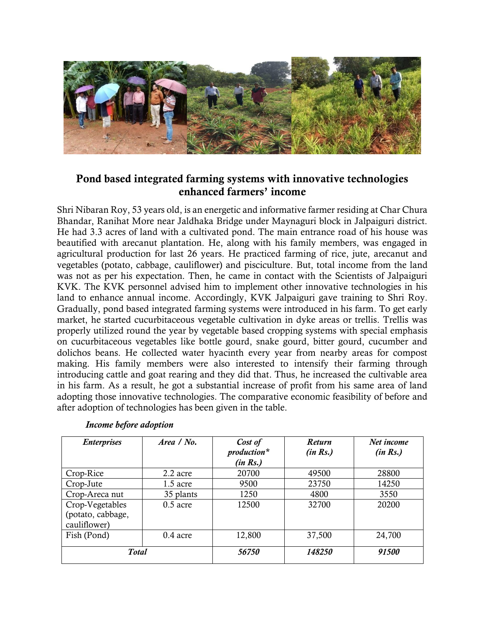

## Pond based integrated farming systems with innovative technologies enhanced farmers' income

Shri Nibaran Roy, 53 years old, is an energetic and informative farmer residing at Char Chura Bhandar, Ranihat More near Jaldhaka Bridge under Maynaguri block in Jalpaiguri district. He had 3.3 acres of land with a cultivated pond. The main entrance road of his house was beautified with arecanut plantation. He, along with his family members, was engaged in agricultural production for last 26 years. He practiced farming of rice, jute, arecanut and vegetables (potato, cabbage, cauliflower) and pisciculture. But, total income from the land was not as per his expectation. Then, he came in contact with the Scientists of Jalpaiguri KVK. The KVK personnel advised him to implement other innovative technologies in his land to enhance annual income. Accordingly, KVK Jalpaiguri gave training to Shri Roy. Gradually, pond based integrated farming systems were introduced in his farm. To get early market, he started cucurbitaceous vegetable cultivation in dyke areas or trellis. Trellis was properly utilized round the year by vegetable based cropping systems with special emphasis on cucurbitaceous vegetables like bottle gourd, snake gourd, bitter gourd, cucumber and dolichos beans. He collected water hyacinth every year from nearby areas for compost making. His family members were also interested to intensify their farming through introducing cattle and goat rearing and they did that. Thus, he increased the cultivable area in his farm. As a result, he got a substantial increase of profit from his same area of land adopting those innovative technologies. The comparative economic feasibility of before and after adoption of technologies has been given in the table.

| <b>Enterprises</b>                                   | Area / No. | Cost of<br>production*<br>(in Rs.) | Return<br>(in Rs.) | Net income<br>(in Rs.) |
|------------------------------------------------------|------------|------------------------------------|--------------------|------------------------|
| Crop-Rice                                            | 2.2 acre   | 20700                              | 49500              | 28800                  |
| Crop-Jute                                            | $1.5$ acre | 9500                               | 23750              | 14250                  |
| Crop-Areca nut                                       | 35 plants  | 1250                               | 4800               | 3550                   |
| Crop-Vegetables<br>(potato, cabbage,<br>cauliflower) | $0.5$ acre | 12500                              | 32700              | 20200                  |
| Fish (Pond)                                          | $0.4$ acre | 12,800                             | 37,500             | 24,700                 |
| <b>Total</b>                                         |            | 56750                              | 148250             | 91500                  |

## *Income before adoption*